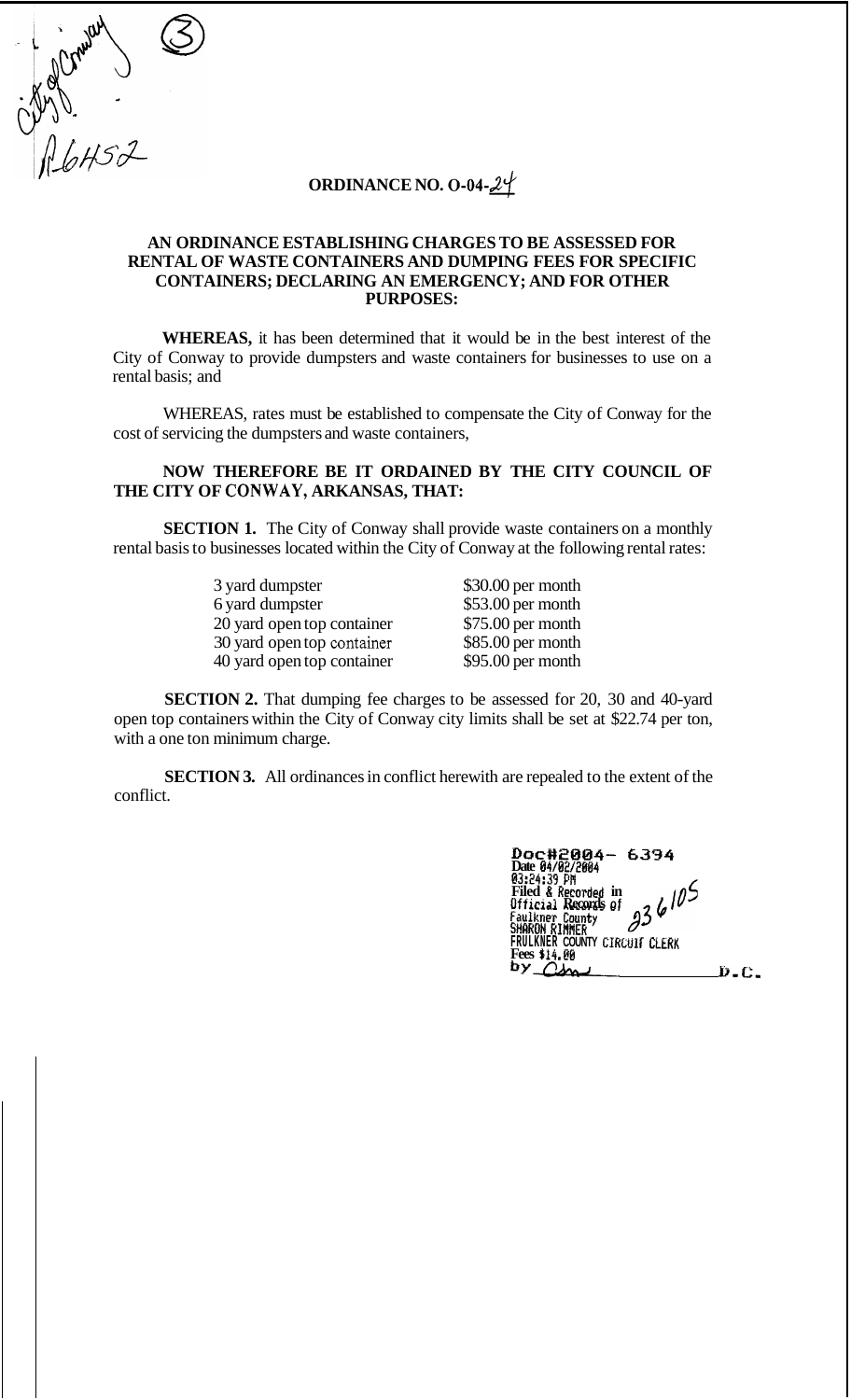**ORDINANCE NO. 0-04-24** 

Sylvania S

## **AN ORDINANCE ESTABLISHING CHARGES TO BE ASSESSED FOR RENTAL OF WASTE CONTAINERS AND DUMPING FEES FOR SPECIFIC CONTAINERS; DECLARING AN EMERGENCY; AND FOR OTHER PURPOSES:**

**WHEREAS,** it has been determined that it would be in the best interest of the City of Conway to provide dumpsters and waste containers for businesses to use on a rental basis; and

WHEREAS, rates must be established to compensate the City of Conway for the cost of servicing the dumpsters and waste containers,

## **NOW THEREFORE BE IT ORDAINED BY THE CITY COUNCIL OF THE CITY OF CONWAY, ARKANSAS, THAT:**

**SECTION 1.** The City of Conway shall provide waste containers on a monthly rental basis to businesses located within the City of Conway at the following rental rates:

| 3 yard dumpster            | \$30.00 per month  |
|----------------------------|--------------------|
| 6 yard dumpster            | \$53.00 per month  |
| 20 yard open top container | \$75.00 per month  |
| 30 yard open top container | $$85.00$ per month |
| 40 yard open top container | $$95.00$ per month |

**SECTION 2.** That dumping fee charges to be assessed for 20, 30 and 40-yard open top containers within the City of Conway city limits shall be set at \$22.74 per ton, with a one ton minimum charge.

**SECTION 3.** All ordinances in conflict herewith are repealed to the extent of the conflict.

| Doc#2004- 6394<br>Date 04/02/2004                                   |   |
|---------------------------------------------------------------------|---|
| 03:24:39 PM<br>Filed & Recorded in<br>936105<br>Official Records of |   |
| Faulkner County<br>SHARON RIMMER                                    |   |
| FRULKNER COUNTY CIRCUIT CLERK<br>Fees \$14.80                       |   |
| p∧ OY                                                               | Ð |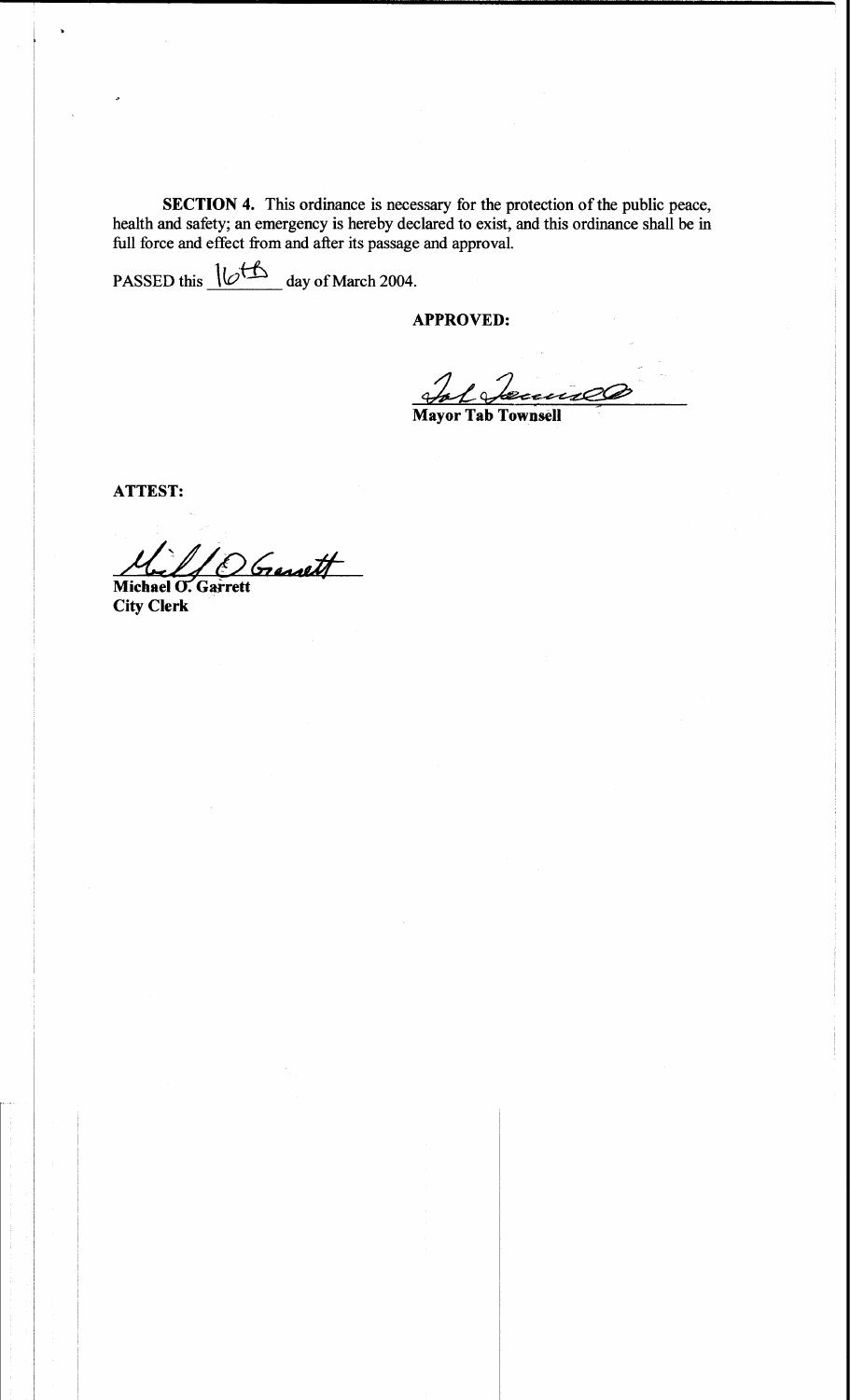SECTION 4. This ordinance is necessary for the protection of the public peace, health and safety; an emergency is hereby declared to exist, and this ordinance shall be in full force and effect from and after its passage and approval.

PASSED this <u>IC<sup>H</sup></u> day of March 2004.

**APPROVED:** 

<u>Informecence</u>

**ATTEST:** 

Genett Michael O. Garrett

**City Clerk**